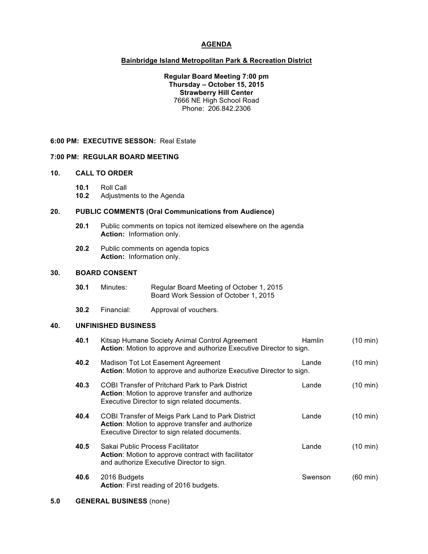## **AGENDA**

## **Bainbridge Island Metropolitan Park & Recreation District**

**Regular Board Meeting 7:00 pm Thursday – October 15, 2015 Strawberry Hill Center** 7666 NE High School Road Phone: 206.842.2306

#### **6:00 PM: EXECUTIVE SESSON:** Real Estate

#### **7:00 PM: REGULAR BOARD MEETING**

## **10. CALL TO ORDER**

- **10.1** Roll Call
- **10.2** Adjustments to the Agenda

## **20. PUBLIC COMMENTS (Oral Communications from Audience)**

- **20.1** Public comments on topics not itemized elsewhere on the agenda **Action:** Information only.
- **20.2** Public comments on agenda topics **Action:** Information only.

## **30. BOARD CONSENT**

| 30.1 | Minutes: | Regular Board Meeting of October 1, 2015 |
|------|----------|------------------------------------------|
|      |          | Board Work Session of October 1, 2015    |

**30.2** Financial: Approval of vouchers.

# **40. UNFINISHED BUSINESS**

| 40.1 | Kitsap Humane Society Animal Control Agreement<br>Action: Motion to approve and authorize Executive Director to sign.                                         | Hamlin  | $(10 \text{ min})$ |
|------|---------------------------------------------------------------------------------------------------------------------------------------------------------------|---------|--------------------|
| 40.2 | Madison Tot Lot Easement Agreement<br>Action: Motion to approve and authorize Executive Director to sign.                                                     | Lande   | $(10 \text{ min})$ |
| 40.3 | <b>COBI Transfer of Pritchard Park to Park District</b><br>Action: Motion to approve transfer and authorize<br>Executive Director to sign related documents.  | Lande   | $(10 \text{ min})$ |
| 40.4 | <b>COBI Transfer of Meigs Park Land to Park District</b><br>Action: Motion to approve transfer and authorize<br>Executive Director to sign related documents. | Lande   | $(10 \text{ min})$ |
| 40.5 | Sakai Public Process Facilitator<br>Action: Motion to approve contract with facilitator<br>and authorize Executive Director to sign.                          | Lande   | $(10 \text{ min})$ |
| 40.6 | 2016 Budgets<br>Action: First reading of 2016 budgets.                                                                                                        | Swenson | (60 min)           |

### **5.0 GENERAL BUSINESS** (none)